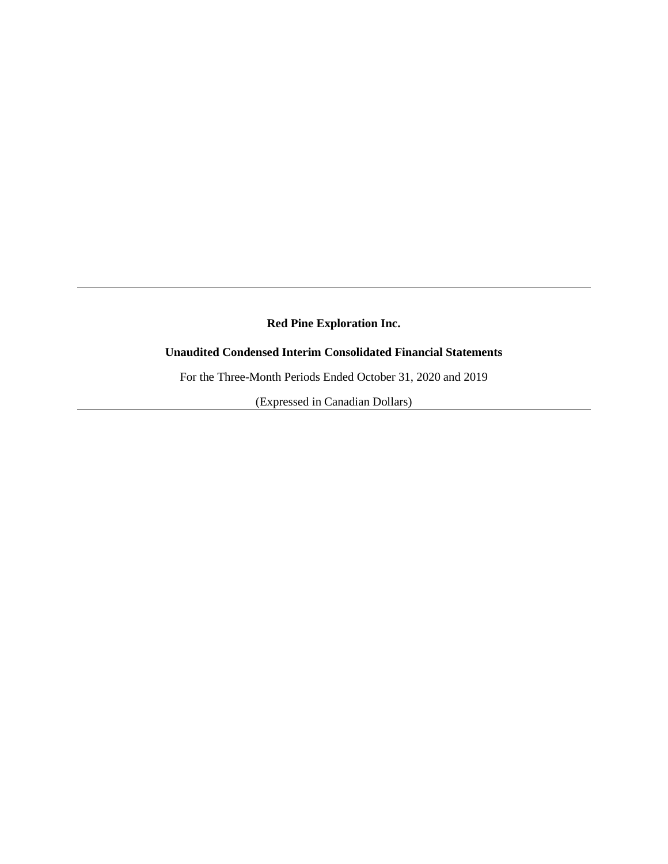## **Unaudited Condensed Interim Consolidated Financial Statements**

For the Three-Month Periods Ended October 31, 2020 and 2019

(Expressed in Canadian Dollars)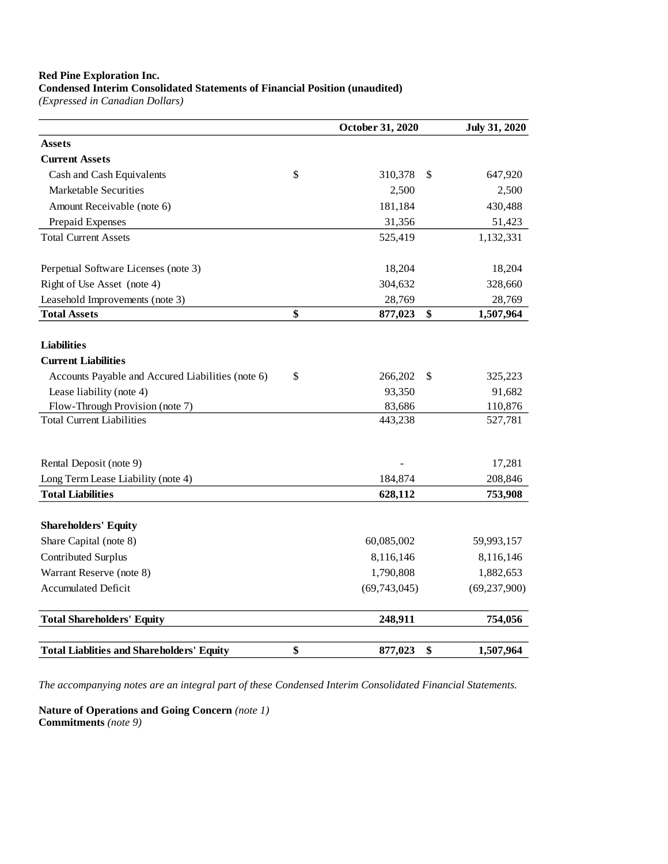### **Condensed Interim Consolidated Statements of Financial Position (unaudited)**

*(Expressed in Canadian Dollars)*

|                                                                     | October 31, 2020  | <b>July 31, 2020</b> |
|---------------------------------------------------------------------|-------------------|----------------------|
| <b>Assets</b>                                                       |                   |                      |
| <b>Current Assets</b>                                               |                   |                      |
| Cash and Cash Equivalents                                           | \$<br>310,378     | \$<br>647,920        |
| Marketable Securities                                               | 2,500             | 2,500                |
| Amount Receivable (note 6)                                          | 181,184           | 430,488              |
| Prepaid Expenses                                                    | 31,356            | 51,423               |
| <b>Total Current Assets</b>                                         | 525,419           | 1,132,331            |
| Perpetual Software Licenses (note 3)                                | 18,204            | 18,204               |
| Right of Use Asset (note 4)                                         | 304,632           | 328,660              |
| Leasehold Improvements (note 3)                                     | 28,769            | 28,769               |
| <b>Total Assets</b>                                                 | \$<br>877,023     | \$<br>1,507,964      |
|                                                                     |                   |                      |
| <b>Liabilities</b>                                                  |                   |                      |
| <b>Current Liabilities</b>                                          |                   |                      |
| Accounts Payable and Accured Liabilities (note 6)                   | \$<br>266,202     | \$<br>325,223        |
| Lease liability (note 4)                                            | 93,350            | 91,682               |
| Flow-Through Provision (note 7)<br><b>Total Current Liabilities</b> | 83,686<br>443,238 | 110,876<br>527,781   |
|                                                                     |                   |                      |
| Rental Deposit (note 9)                                             |                   | 17,281               |
| Long Term Lease Liability (note 4)                                  | 184,874           | 208,846              |
| <b>Total Liabilities</b>                                            | 628,112           | 753,908              |
| <b>Shareholders' Equity</b>                                         |                   |                      |
| Share Capital (note 8)                                              | 60,085,002        | 59,993,157           |
| Contributed Surplus                                                 | 8,116,146         | 8,116,146            |
| Warrant Reserve (note 8)                                            | 1,790,808         | 1,882,653            |
| <b>Accumulated Deficit</b>                                          | (69,743,045)      | (69, 237, 900)       |
| <b>Total Shareholders' Equity</b>                                   | 248,911           | 754,056              |
| <b>Total Liablities and Shareholders' Equity</b>                    | \$<br>877,023     | \$<br>1,507,964      |

*The accompanying notes are an integral part of these Condensed Interim Consolidated Financial Statements.*

**Nature of Operations and Going Concern** *(note 1)* **Commitments** *(note 9)*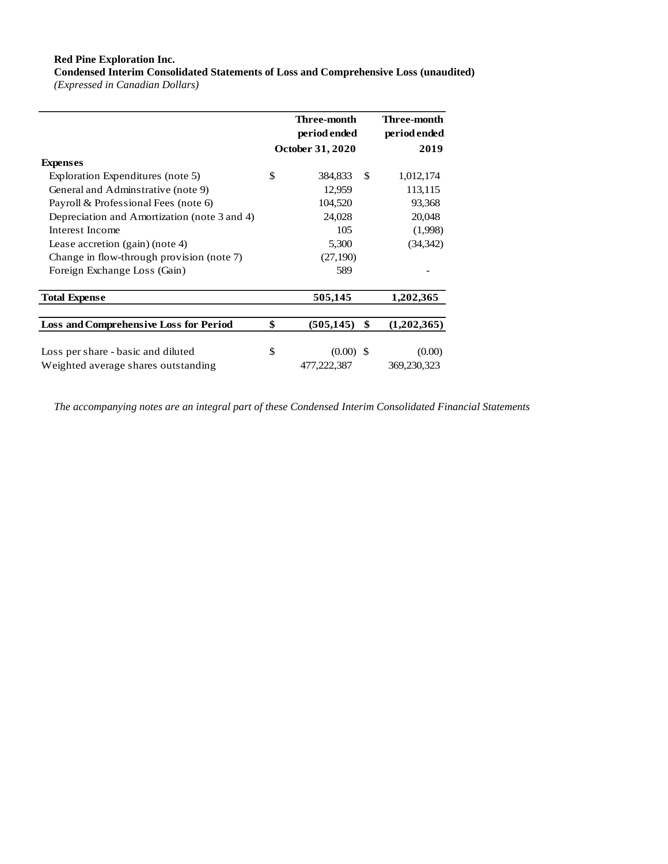**Condensed Interim Consolidated Statements of Loss and Comprehensive Loss (unaudited)** *(Expressed in Canadian Dollars)*

|                                               | Three-month<br>period ended<br>October 31, 2020 |                  | Three-month<br>period ended<br>2019 |  |
|-----------------------------------------------|-------------------------------------------------|------------------|-------------------------------------|--|
|                                               |                                                 |                  |                                     |  |
| <b>Expenses</b>                               |                                                 |                  |                                     |  |
| Exploration Expenditures (note 5)             | \$                                              | 384,833<br>\$    | 1,012,174                           |  |
| General and Adminstrative (note 9)            |                                                 | 12,959           | 113,115                             |  |
| Payroll & Professional Fees (note 6)          |                                                 | 104,520          | 93,368                              |  |
| Depreciation and Amortization (note 3 and 4)  |                                                 | 24,028           | 20,048                              |  |
| Interest Income                               |                                                 | 105              | (1,998)                             |  |
| Lease accretion (gain) (note 4)               |                                                 | 5,300            | (34, 342)                           |  |
| Change in flow-through provision (note 7)     |                                                 | (27,190)         |                                     |  |
| Foreign Exchange Loss (Gain)                  |                                                 | 589              |                                     |  |
| <b>Total Expense</b>                          |                                                 | 505,145          | 1,202,365                           |  |
| <b>Loss and Comprehensive Loss for Period</b> | \$                                              | (505, 145)<br>\$ | (1,202,365)                         |  |
|                                               |                                                 |                  |                                     |  |
| Loss per share - basic and diluted            | \$                                              | $(0.00)$ \$      | (0.00)                              |  |
| Weighted average shares outstanding           |                                                 | 477,222,387      | 369,230,323                         |  |

*The accompanying notes are an integral part of these Condensed Interim Consolidated Financial Statements*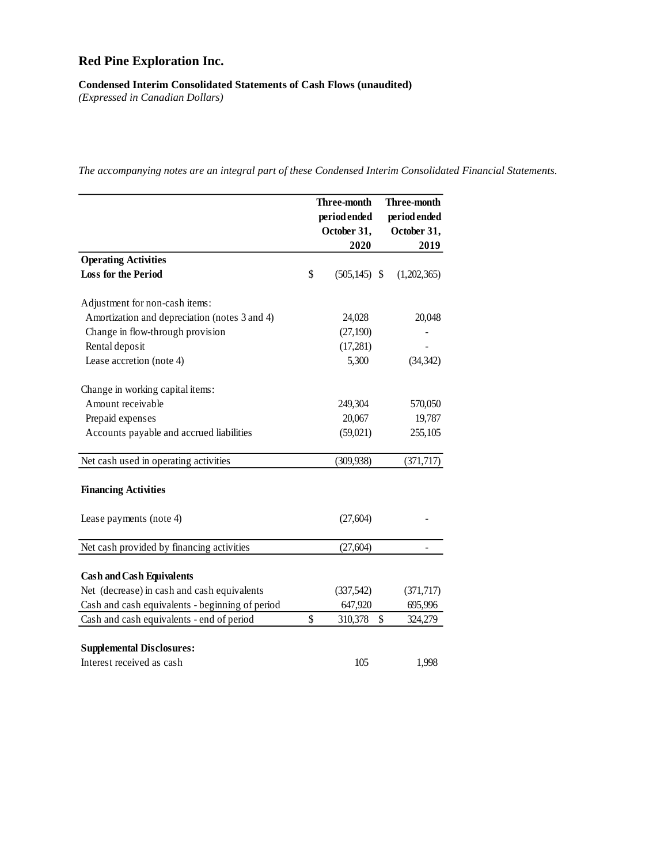## **Condensed Interim Consolidated Statements of Cash Flows (unaudited)**

*(Expressed in Canadian Dollars)*

|                                                 | Three-month |                 | <b>Three-month</b> |
|-------------------------------------------------|-------------|-----------------|--------------------|
|                                                 |             | period ended    | period ended       |
|                                                 |             | October 31,     | October 31,        |
|                                                 |             | 2020            | 2019               |
| <b>Operating Activities</b>                     |             |                 |                    |
| <b>Loss for the Period</b>                      | \$          | $(505, 145)$ \$ | (1,202,365)        |
| Adjustment for non-cash items:                  |             |                 |                    |
| Amortization and depreciation (notes 3 and 4)   |             | 24,028          | 20,048             |
| Change in flow-through provision                |             | (27, 190)       |                    |
| Rental deposit                                  |             | (17,281)        |                    |
| Lease accretion (note 4)                        |             | 5,300           | (34, 342)          |
| Change in working capital items:                |             |                 |                    |
| Amount receivable                               |             | 249,304         | 570,050            |
| Prepaid expenses                                |             | 20,067          | 19,787             |
| Accounts payable and accrued liabilities        |             | (59,021)        | 255,105            |
| Net cash used in operating activities           |             | (309, 938)      | (371, 717)         |
| <b>Financing Activities</b>                     |             |                 |                    |
| Lease payments (note 4)                         |             | (27, 604)       |                    |
| Net cash provided by financing activities       |             | (27, 604)       |                    |
| <b>Cash and Cash Equivalents</b>                |             |                 |                    |
| Net (decrease) in cash and cash equivalents     |             | (337,542)       | (371, 717)         |
| Cash and cash equivalents - beginning of period |             | 647,920         | 695,996            |
| Cash and cash equivalents - end of period       | \$          | 310,378         | \$<br>324,279      |
| <b>Supplemental Disclosures:</b>                |             |                 |                    |
| Interest received as cash                       |             | 105             | 1,998              |

*The accompanying notes are an integral part of these Condensed Interim Consolidated Financial Statements.*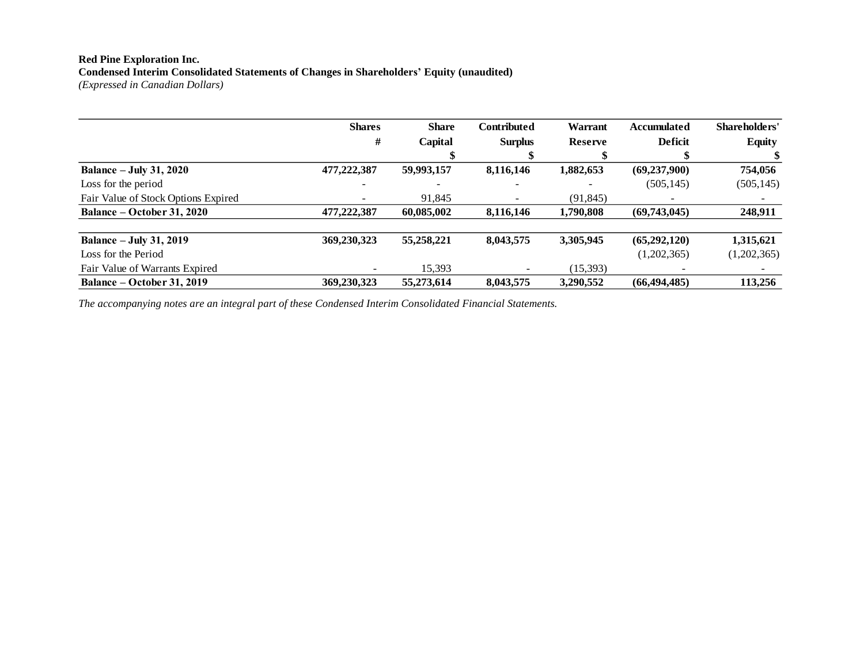#### **Red Pine Exploration Inc. Condensed Interim Consolidated Statements of Changes in Shareholders' Equity (unaudited)** *(Expressed in Canadian Dollars)*

|                                     | <b>Shares</b>            | <b>Share</b> | <b>Contributed</b>           | <b>Warrant</b>           | <b>Accumulated</b> | Shareholders'            |
|-------------------------------------|--------------------------|--------------|------------------------------|--------------------------|--------------------|--------------------------|
|                                     | #                        | Capital      | <b>Surplus</b>               | <b>Reserve</b>           | <b>Deficit</b>     | <b>Equity</b>            |
|                                     |                          |              |                              |                          |                    |                          |
| <b>Balance – July 31, 2020</b>      | 477,222,387              | 59,993,157   | 8,116,146                    | 1,882,653                | (69, 237, 900)     | 754,056                  |
| Loss for the period                 |                          |              | $\qquad \qquad \blacksquare$ | $\overline{\phantom{0}}$ | (505, 145)         | (505, 145)               |
| Fair Value of Stock Options Expired |                          | 91,845       | -                            | (91, 845)                |                    | $\overline{\phantom{a}}$ |
| <b>Balance – October 31, 2020</b>   | 477,222,387              | 60,085,002   | 8,116,146                    | 1,790,808                | (69,743,045)       | 248,911                  |
| <b>Balance - July 31, 2019</b>      | 369,230,323              | 55,258,221   | 8,043,575                    | 3,305,945                | (65,292,120)       | 1,315,621                |
| Loss for the Period                 |                          |              |                              |                          | (1,202,365)        | (1,202,365)              |
| Fair Value of Warrants Expired      | $\overline{\phantom{a}}$ | 15,393       |                              | (15, 393)                |                    | $\overline{\phantom{a}}$ |
| Balance – October 31, 2019          | 369,230,323              | 55,273,614   | 8,043,575                    | 3,290,552                | (66, 494, 485)     | 113,256                  |

*The accompanying notes are an integral part of these Condensed Interim Consolidated Financial Statements.*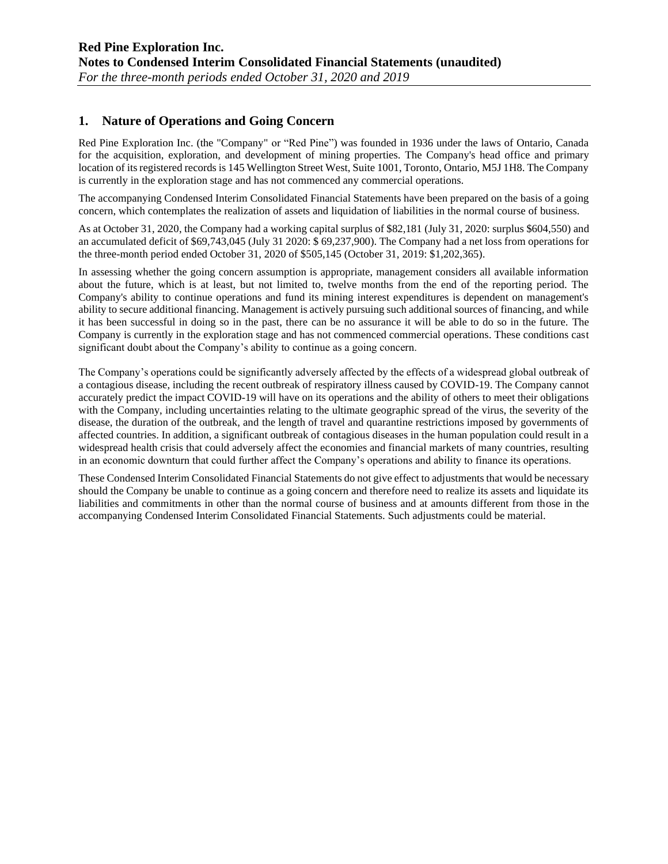### **1. Nature of Operations and Going Concern**

Red Pine Exploration Inc. (the "Company" or "Red Pine") was founded in 1936 under the laws of Ontario, Canada for the acquisition, exploration, and development of mining properties. The Company's head office and primary location of its registered records is 145 Wellington Street West, Suite 1001, Toronto, Ontario, M5J 1H8. The Company is currently in the exploration stage and has not commenced any commercial operations.

The accompanying Condensed Interim Consolidated Financial Statements have been prepared on the basis of a going concern, which contemplates the realization of assets and liquidation of liabilities in the normal course of business.

As at October 31, 2020, the Company had a working capital surplus of \$82,181 (July 31, 2020: surplus \$604,550) and an accumulated deficit of \$69,743,045 (July 31 2020: \$ 69,237,900). The Company had a net loss from operations for the three-month period ended October 31, 2020 of \$505,145 (October 31, 2019: \$1,202,365).

In assessing whether the going concern assumption is appropriate, management considers all available information about the future, which is at least, but not limited to, twelve months from the end of the reporting period. The Company's ability to continue operations and fund its mining interest expenditures is dependent on management's ability to secure additional financing. Management is actively pursuing such additional sources of financing, and while it has been successful in doing so in the past, there can be no assurance it will be able to do so in the future. The Company is currently in the exploration stage and has not commenced commercial operations. These conditions cast significant doubt about the Company's ability to continue as a going concern.

The Company's operations could be significantly adversely affected by the effects of a widespread global outbreak of a contagious disease, including the recent outbreak of respiratory illness caused by COVID-19. The Company cannot accurately predict the impact COVID-19 will have on its operations and the ability of others to meet their obligations with the Company, including uncertainties relating to the ultimate geographic spread of the virus, the severity of the disease, the duration of the outbreak, and the length of travel and quarantine restrictions imposed by governments of affected countries. In addition, a significant outbreak of contagious diseases in the human population could result in a widespread health crisis that could adversely affect the economies and financial markets of many countries, resulting in an economic downturn that could further affect the Company's operations and ability to finance its operations.

These Condensed Interim Consolidated Financial Statements do not give effect to adjustments that would be necessary should the Company be unable to continue as a going concern and therefore need to realize its assets and liquidate its liabilities and commitments in other than the normal course of business and at amounts different from those in the accompanying Condensed Interim Consolidated Financial Statements. Such adjustments could be material.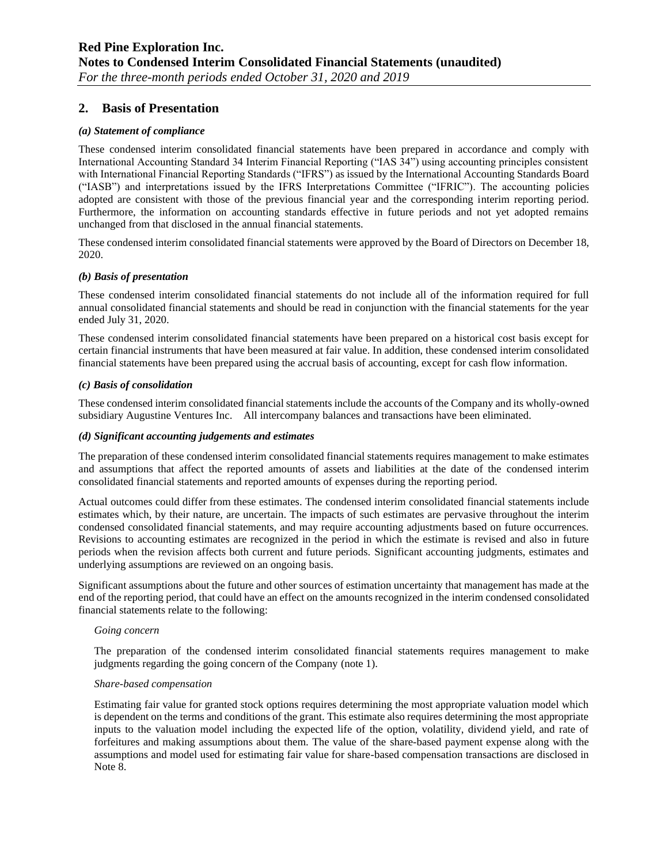## **2. Basis of Presentation**

#### *(a) Statement of compliance*

These condensed interim consolidated financial statements have been prepared in accordance and comply with International Accounting Standard 34 Interim Financial Reporting ("IAS 34") using accounting principles consistent with International Financial Reporting Standards ("IFRS") as issued by the International Accounting Standards Board ("IASB") and interpretations issued by the IFRS Interpretations Committee ("IFRIC"). The accounting policies adopted are consistent with those of the previous financial year and the corresponding interim reporting period. Furthermore, the information on accounting standards effective in future periods and not yet adopted remains unchanged from that disclosed in the annual financial statements.

These condensed interim consolidated financial statements were approved by the Board of Directors on December 18, 2020.

#### *(b) Basis of presentation*

These condensed interim consolidated financial statements do not include all of the information required for full annual consolidated financial statements and should be read in conjunction with the financial statements for the year ended July 31, 2020.

These condensed interim consolidated financial statements have been prepared on a historical cost basis except for certain financial instruments that have been measured at fair value. In addition, these condensed interim consolidated financial statements have been prepared using the accrual basis of accounting, except for cash flow information.

#### *(c) Basis of consolidation*

These condensed interim consolidated financial statements include the accounts of the Company and its wholly-owned subsidiary Augustine Ventures Inc. All intercompany balances and transactions have been eliminated.

#### *(d) Significant accounting judgements and estimates*

The preparation of these condensed interim consolidated financial statements requires management to make estimates and assumptions that affect the reported amounts of assets and liabilities at the date of the condensed interim consolidated financial statements and reported amounts of expenses during the reporting period.

Actual outcomes could differ from these estimates. The condensed interim consolidated financial statements include estimates which, by their nature, are uncertain. The impacts of such estimates are pervasive throughout the interim condensed consolidated financial statements, and may require accounting adjustments based on future occurrences. Revisions to accounting estimates are recognized in the period in which the estimate is revised and also in future periods when the revision affects both current and future periods. Significant accounting judgments, estimates and underlying assumptions are reviewed on an ongoing basis.

Significant assumptions about the future and other sources of estimation uncertainty that management has made at the end of the reporting period, that could have an effect on the amounts recognized in the interim condensed consolidated financial statements relate to the following:

#### *Going concern*

The preparation of the condensed interim consolidated financial statements requires management to make judgments regarding the going concern of the Company (note 1).

#### *Share-based compensation*

Estimating fair value for granted stock options requires determining the most appropriate valuation model which is dependent on the terms and conditions of the grant. This estimate also requires determining the most appropriate inputs to the valuation model including the expected life of the option, volatility, dividend yield, and rate of forfeitures and making assumptions about them. The value of the share-based payment expense along with the assumptions and model used for estimating fair value for share-based compensation transactions are disclosed in Note 8.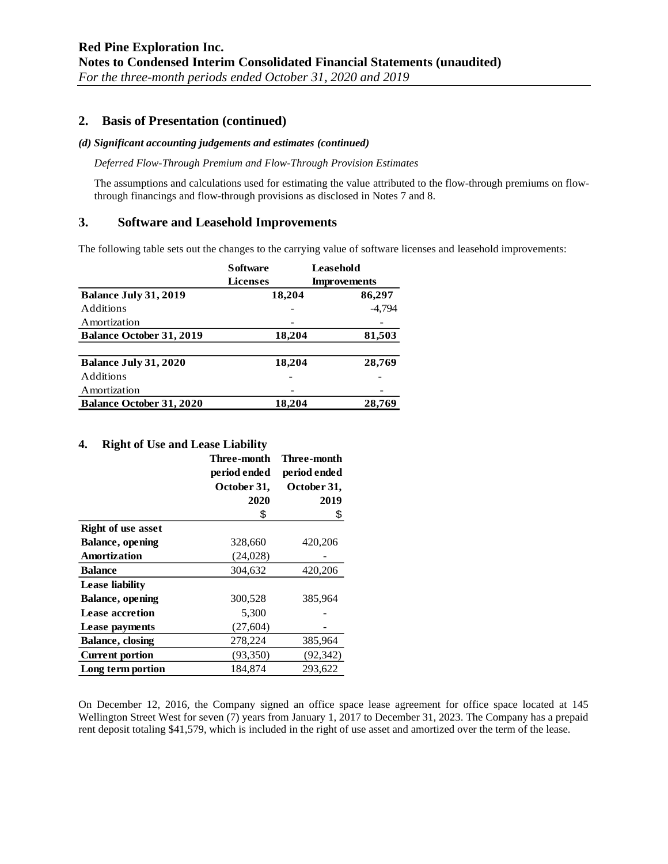### **2. Basis of Presentation (continued)**

#### *(d) Significant accounting judgements and estimates (continued)*

*Deferred Flow-Through Premium and Flow-Through Provision Estimates*

The assumptions and calculations used for estimating the value attributed to the flow-through premiums on flowthrough financings and flow-through provisions as disclosed in Notes 7 and 8.

### **3. Software and Leasehold Improvements**

The following table sets out the changes to the carrying value of software licenses and leasehold improvements:

|                                 | <b>S</b> of tware | Leasehold           |
|---------------------------------|-------------------|---------------------|
|                                 | <b>Licenses</b>   | <b>Improvements</b> |
| Balance July 31, 2019           | 18,204            | 86,297              |
| Additions                       |                   | $-4.794$            |
| Amortization                    |                   |                     |
| <b>Balance October 31, 2019</b> | 18,204            | 81,503              |
| Balance July 31, 2020           | 18,204            | 28,769              |
| Additions                       |                   |                     |
| Amortization                    |                   |                     |
| <b>Balance October 31, 2020</b> | 18,204            | 28,769              |

#### **4. Right of Use and Lease Liability**

|                           | Three-month  | Three-month  |
|---------------------------|--------------|--------------|
|                           | period ended | period ended |
|                           | October 31,  | October 31,  |
|                           | 2020         | 2019         |
|                           | \$           | \$           |
| <b>Right of use asset</b> |              |              |
| <b>Balance</b> , opening  | 328,660      | 420,206      |
| Amortization              | (24, 028)    |              |
| <b>Balance</b>            | 304,632      | 420,206      |
| <b>Lease liability</b>    |              |              |
| Balance, opening          | 300,528      | 385,964      |
| <b>Lease accretion</b>    | 5,300        |              |
| Lease payments            | (27, 604)    |              |
| <b>Balance, closing</b>   | 278,224      | 385,964      |
| <b>Current portion</b>    | (93,350)     | (92, 342)    |
| Long term portion         | 184.874      | 293.622      |

On December 12, 2016, the Company signed an office space lease agreement for office space located at 145 Wellington Street West for seven (7) years from January 1, 2017 to December 31, 2023. The Company has a prepaid rent deposit totaling \$41,579, which is included in the right of use asset and amortized over the term of the lease.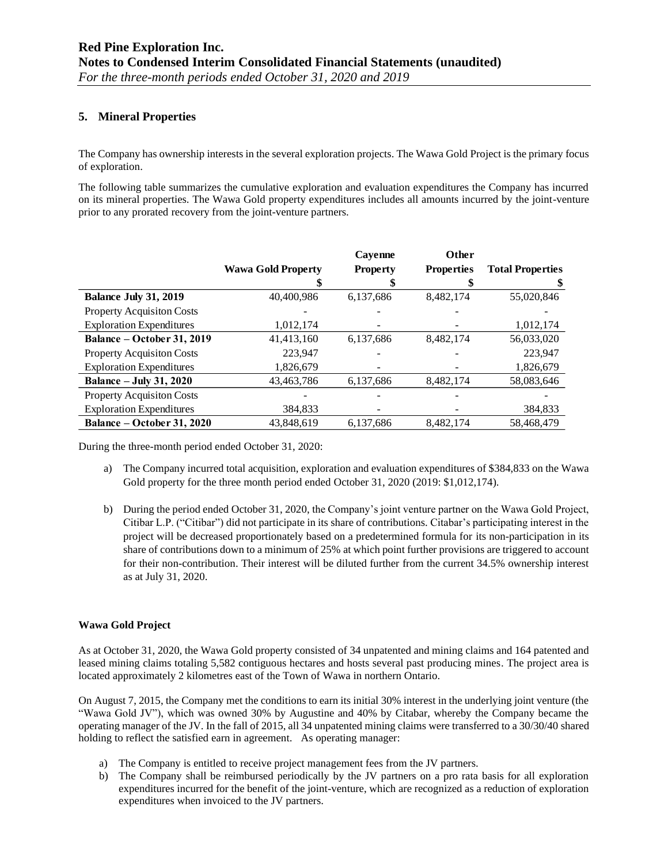### **5. Mineral Properties**

The Company has ownership interests in the several exploration projects. The Wawa Gold Project is the primary focus of exploration.

The following table summarizes the cumulative exploration and evaluation expenditures the Company has incurred on its mineral properties. The Wawa Gold property expenditures includes all amounts incurred by the joint-venture prior to any prorated recovery from the joint-venture partners.

|                                   |                           | Cavenne         | Other             |                         |
|-----------------------------------|---------------------------|-----------------|-------------------|-------------------------|
|                                   | <b>Wawa Gold Property</b> | <b>Property</b> | <b>Properties</b> | <b>Total Properties</b> |
|                                   |                           |                 |                   | \$                      |
| <b>Balance July 31, 2019</b>      | 40,400,986                | 6,137,686       | 8,482,174         | 55,020,846              |
| Property Acquisiton Costs         |                           |                 |                   |                         |
| <b>Exploration Expenditures</b>   | 1,012,174                 |                 |                   | 1,012,174               |
| <b>Balance – October 31, 2019</b> | 41,413,160                | 6,137,686       | 8,482,174         | 56,033,020              |
| <b>Property Acquisiton Costs</b>  | 223,947                   |                 |                   | 223,947                 |
| <b>Exploration Expenditures</b>   | 1,826,679                 |                 |                   | 1,826,679               |
| <b>Balance – July 31, 2020</b>    | 43,463,786                | 6,137,686       | 8,482,174         | 58,083,646              |
| <b>Property Acquisition Costs</b> |                           |                 |                   |                         |
| <b>Exploration Expenditures</b>   | 384,833                   |                 |                   | 384,833                 |
| Balance – October 31, 2020        | 43,848,619                | 6,137,686       | 8,482,174         | 58,468,479              |

During the three-month period ended October 31, 2020:

- a) The Company incurred total acquisition, exploration and evaluation expenditures of \$384,833 on the Wawa Gold property for the three month period ended October 31, 2020 (2019: \$1,012,174).
- b) During the period ended October 31, 2020, the Company's joint venture partner on the Wawa Gold Project, Citibar L.P. ("Citibar") did not participate in its share of contributions. Citabar's participating interest in the project will be decreased proportionately based on a predetermined formula for its non-participation in its share of contributions down to a minimum of 25% at which point further provisions are triggered to account for their non-contribution. Their interest will be diluted further from the current 34.5% ownership interest as at July 31, 2020.

#### **Wawa Gold Project**

As at October 31, 2020, the Wawa Gold property consisted of 34 unpatented and mining claims and 164 patented and leased mining claims totaling 5,582 contiguous hectares and hosts several past producing mines. The project area is located approximately 2 kilometres east of the Town of Wawa in northern Ontario.

On August 7, 2015, the Company met the conditions to earn its initial 30% interest in the underlying joint venture (the "Wawa Gold JV"), which was owned 30% by Augustine and 40% by Citabar, whereby the Company became the operating manager of the JV. In the fall of 2015, all 34 unpatented mining claims were transferred to a 30/30/40 shared holding to reflect the satisfied earn in agreement. As operating manager:

- a) The Company is entitled to receive project management fees from the JV partners.
- b) The Company shall be reimbursed periodically by the JV partners on a pro rata basis for all exploration expenditures incurred for the benefit of the joint-venture, which are recognized as a reduction of exploration expenditures when invoiced to the JV partners.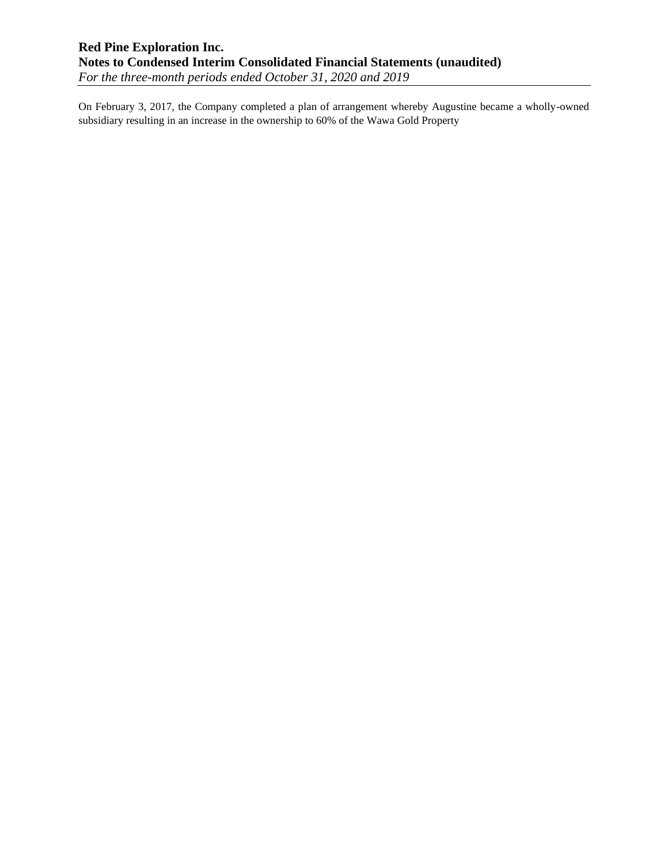On February 3, 2017, the Company completed a plan of arrangement whereby Augustine became a wholly-owned subsidiary resulting in an increase in the ownership to 60% of the Wawa Gold Property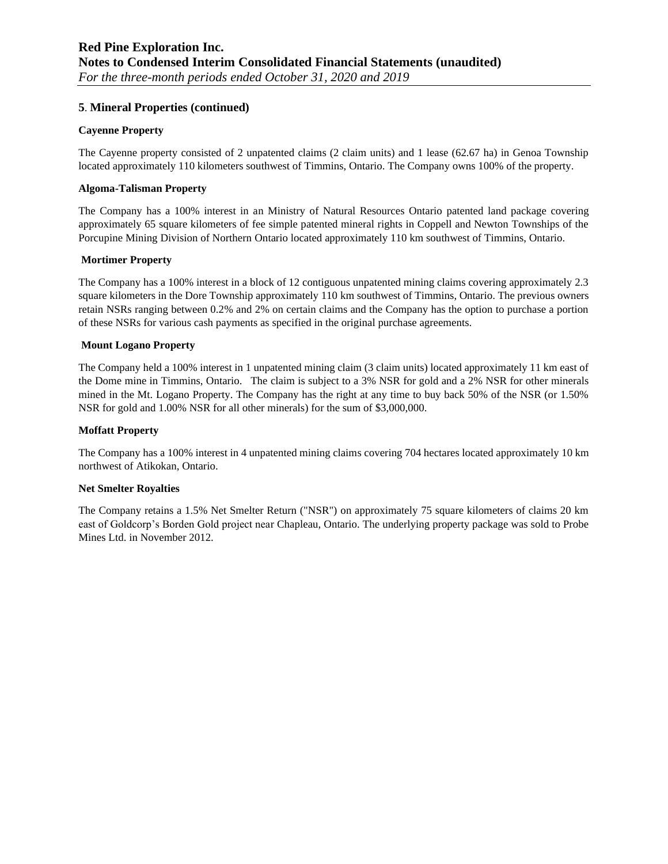### **5**. **Mineral Properties (continued)**

#### **Cayenne Property**

The Cayenne property consisted of 2 unpatented claims (2 claim units) and 1 lease (62.67 ha) in Genoa Township located approximately 110 kilometers southwest of Timmins, Ontario. The Company owns 100% of the property.

#### **Algoma-Talisman Property**

The Company has a 100% interest in an Ministry of Natural Resources Ontario patented land package covering approximately 65 square kilometers of fee simple patented mineral rights in Coppell and Newton Townships of the Porcupine Mining Division of Northern Ontario located approximately 110 km southwest of Timmins, Ontario.

#### **Mortimer Property**

The Company has a 100% interest in a block of 12 contiguous unpatented mining claims covering approximately 2.3 square kilometers in the Dore Township approximately 110 km southwest of Timmins, Ontario. The previous owners retain NSRs ranging between 0.2% and 2% on certain claims and the Company has the option to purchase a portion of these NSRs for various cash payments as specified in the original purchase agreements.

#### **Mount Logano Property**

The Company held a 100% interest in 1 unpatented mining claim (3 claim units) located approximately 11 km east of the Dome mine in Timmins, Ontario. The claim is subject to a 3% NSR for gold and a 2% NSR for other minerals mined in the Mt. Logano Property. The Company has the right at any time to buy back 50% of the NSR (or 1.50% NSR for gold and 1.00% NSR for all other minerals) for the sum of \$3,000,000.

#### **Moffatt Property**

The Company has a 100% interest in 4 unpatented mining claims covering 704 hectares located approximately 10 km northwest of Atikokan, Ontario.

#### **Net Smelter Royalties**

The Company retains a 1.5% Net Smelter Return ("NSR") on approximately 75 square kilometers of claims 20 km east of Goldcorp's Borden Gold project near Chapleau, Ontario. The underlying property package was sold to Probe Mines Ltd. in November 2012.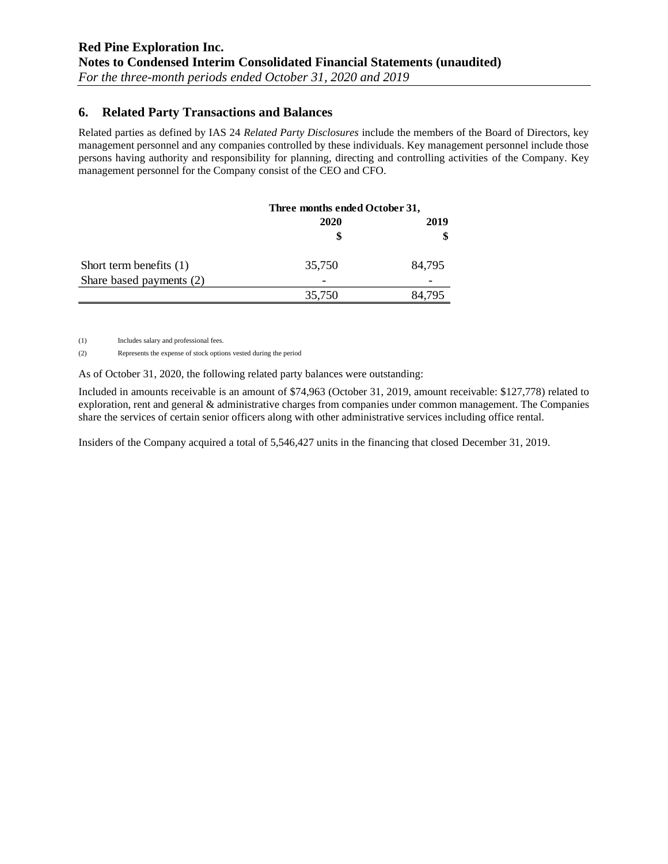## **6. Related Party Transactions and Balances**

Related parties as defined by IAS 24 *Related Party Disclosures* include the members of the Board of Directors, key management personnel and any companies controlled by these individuals. Key management personnel include those persons having authority and responsibility for planning, directing and controlling activities of the Company. Key management personnel for the Company consist of the CEO and CFO.

|                           | Three months ended October 31, |            |  |
|---------------------------|--------------------------------|------------|--|
|                           | 2020<br>S                      | 2019<br>\$ |  |
| Short term benefits $(1)$ | 35,750                         | 84,795     |  |
| Share based payments (2)  |                                |            |  |
|                           | 35,750                         | 84.795     |  |

(1) Includes salary and professional fees.

(2) Represents the expense of stock options vested during the period

As of October 31, 2020, the following related party balances were outstanding:

Included in amounts receivable is an amount of \$74,963 (October 31, 2019, amount receivable: \$127,778) related to exploration, rent and general & administrative charges from companies under common management. The Companies share the services of certain senior officers along with other administrative services including office rental.

Insiders of the Company acquired a total of 5,546,427 units in the financing that closed December 31, 2019.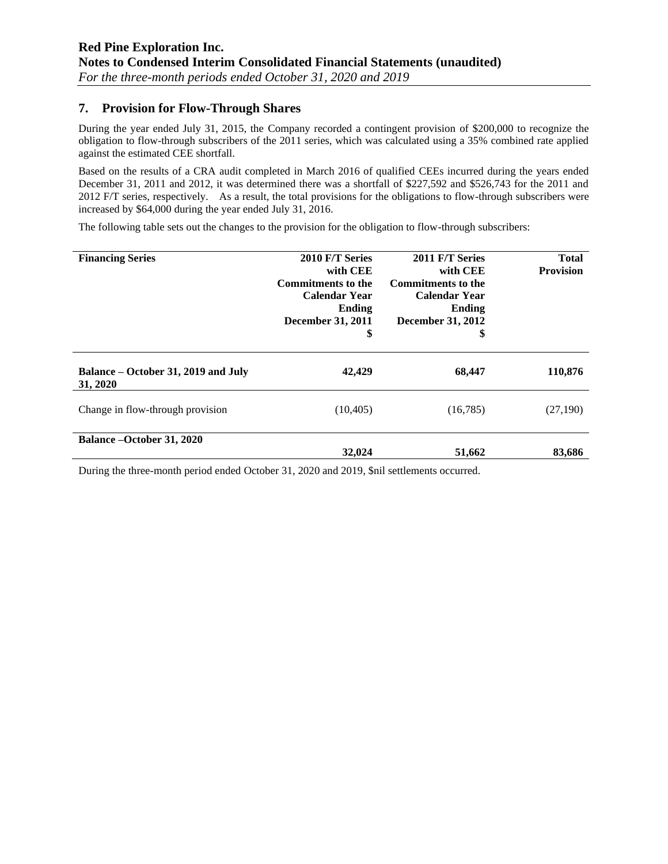## **7. Provision for Flow-Through Shares**

During the year ended July 31, 2015, the Company recorded a contingent provision of \$200,000 to recognize the obligation to flow-through subscribers of the 2011 series, which was calculated using a 35% combined rate applied against the estimated CEE shortfall.

Based on the results of a CRA audit completed in March 2016 of qualified CEEs incurred during the years ended December 31, 2011 and 2012, it was determined there was a shortfall of \$227,592 and \$526,743 for the 2011 and 2012 F/T series, respectively. As a result, the total provisions for the obligations to flow-through subscribers were increased by \$64,000 during the year ended July 31, 2016.

The following table sets out the changes to the provision for the obligation to flow-through subscribers:

| <b>Financing Series</b>                         | 2010 F/T Series<br>with CEE<br><b>Commitments to the</b><br><b>Calendar Year</b><br>Ending<br>December 31, 2011<br>\$ | 2011 F/T Series<br>with CEE<br><b>Commitments to the</b><br><b>Calendar Year</b><br>Ending<br>December 31, 2012<br>\$ | <b>Total</b><br><b>Provision</b> |
|-------------------------------------------------|-----------------------------------------------------------------------------------------------------------------------|-----------------------------------------------------------------------------------------------------------------------|----------------------------------|
| Balance – October 31, 2019 and July<br>31, 2020 | 42,429                                                                                                                | 68,447                                                                                                                | 110,876                          |
| Change in flow-through provision                | (10, 405)                                                                                                             | (16,785)                                                                                                              | (27,190)                         |
| <b>Balance – October 31, 2020</b>               | 32,024                                                                                                                | 51,662                                                                                                                | 83,686                           |

During the three-month period ended October 31, 2020 and 2019, \$nil settlements occurred.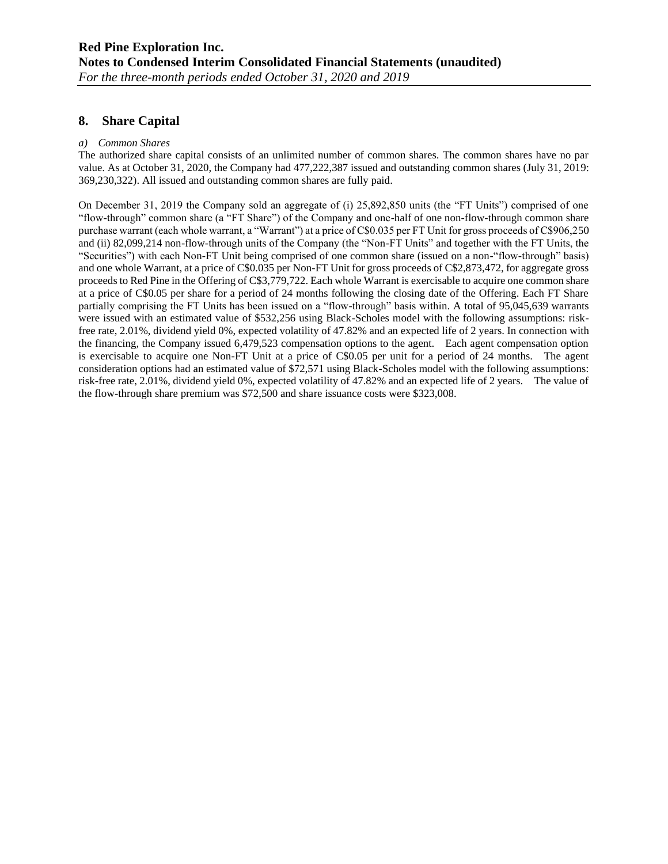### **8. Share Capital**

#### *a) Common Shares*

The authorized share capital consists of an unlimited number of common shares. The common shares have no par value. As at October 31, 2020, the Company had 477,222,387 issued and outstanding common shares (July 31, 2019: 369,230,322). All issued and outstanding common shares are fully paid.

On December 31, 2019 the Company sold an aggregate of (i) 25,892,850 units (the "FT Units") comprised of one "flow-through" common share (a "FT Share") of the Company and one-half of one non-flow-through common share purchase warrant (each whole warrant, a "Warrant") at a price of C\$0.035 per FT Unit for gross proceeds of C\$906,250 and (ii) 82,099,214 non-flow-through units of the Company (the "Non-FT Units" and together with the FT Units, the "Securities") with each Non-FT Unit being comprised of one common share (issued on a non-"flow-through" basis) and one whole Warrant, at a price of C\$0.035 per Non-FT Unit for gross proceeds of C\$2,873,472, for aggregate gross proceeds to Red Pine in the Offering of C\$3,779,722. Each whole Warrant is exercisable to acquire one common share at a price of C\$0.05 per share for a period of 24 months following the closing date of the Offering. Each FT Share partially comprising the FT Units has been issued on a "flow-through" basis within. A total of 95,045,639 warrants were issued with an estimated value of \$532,256 using Black-Scholes model with the following assumptions: riskfree rate, 2.01%, dividend yield 0%, expected volatility of 47.82% and an expected life of 2 years. In connection with the financing, the Company issued 6,479,523 compensation options to the agent. Each agent compensation option is exercisable to acquire one Non-FT Unit at a price of C\$0.05 per unit for a period of 24 months. The agent consideration options had an estimated value of \$72,571 using Black-Scholes model with the following assumptions: risk-free rate, 2.01%, dividend yield 0%, expected volatility of 47.82% and an expected life of 2 years. The value of the flow-through share premium was \$72,500 and share issuance costs were \$323,008.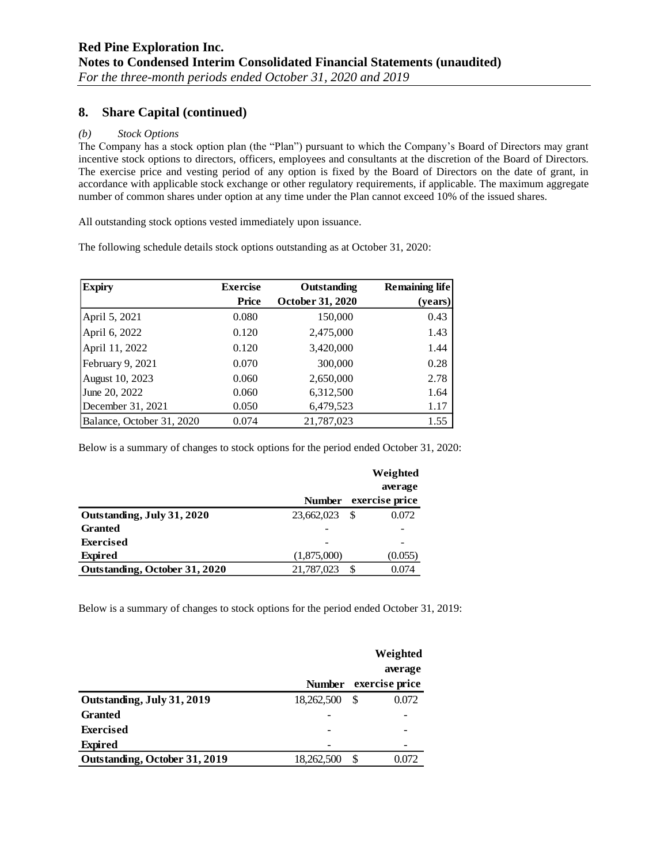## **8. Share Capital (continued)**

#### *(b) Stock Options*

The Company has a stock option plan (the "Plan") pursuant to which the Company's Board of Directors may grant incentive stock options to directors, officers, employees and consultants at the discretion of the Board of Directors. The exercise price and vesting period of any option is fixed by the Board of Directors on the date of grant, in accordance with applicable stock exchange or other regulatory requirements, if applicable. The maximum aggregate number of common shares under option at any time under the Plan cannot exceed 10% of the issued shares.

All outstanding stock options vested immediately upon issuance.

The following schedule details stock options outstanding as at October 31, 2020:

| <b>Expiry</b>             | <b>Exercise</b> | Outstanding      | <b>Remaining life</b> |
|---------------------------|-----------------|------------------|-----------------------|
|                           | <b>Price</b>    | October 31, 2020 | (years)               |
| April 5, 2021             | 0.080           | 150,000          | 0.43                  |
| April 6, 2022             | 0.120           | 2,475,000        | 1.43                  |
| April 11, 2022            | 0.120           | 3,420,000        | 1.44                  |
| February 9, 2021          | 0.070           | 300,000          | 0.28                  |
| August 10, 2023           | 0.060           | 2,650,000        | 2.78                  |
| June 20, 2022             | 0.060           | 6,312,500        | 1.64                  |
| December 31, 2021         | 0.050           | 6,479,523        | 1.17                  |
| Balance, October 31, 2020 | 0.074           | 21,787,023       | 1.55                  |

Below is a summary of changes to stock options for the period ended October 31, 2020:

|                               |               | Weighted       |
|-------------------------------|---------------|----------------|
|                               |               | average        |
|                               | <b>Number</b> | exercise price |
| Outstanding, July 31, 2020    | 23,662,023    | 0.072<br>\$    |
| <b>Granted</b>                |               |                |
| <b>Exercised</b>              |               |                |
| <b>Expired</b>                | (1,875,000)   | (0.055)        |
| Outstanding, October 31, 2020 | 21,787,023    | \$<br>0.074    |

Below is a summary of changes to stock options for the period ended October 31, 2019:

|                               |               | Weighted       |
|-------------------------------|---------------|----------------|
|                               |               | average        |
|                               | <b>Number</b> | exercise price |
| Outstanding, July 31, 2019    | 18,262,500    | 0.072<br>S     |
| <b>Granted</b>                |               |                |
| <b>Exercised</b>              |               |                |
| <b>Expired</b>                |               |                |
| Outstanding, October 31, 2019 | 18,262,500    | S<br>0.072     |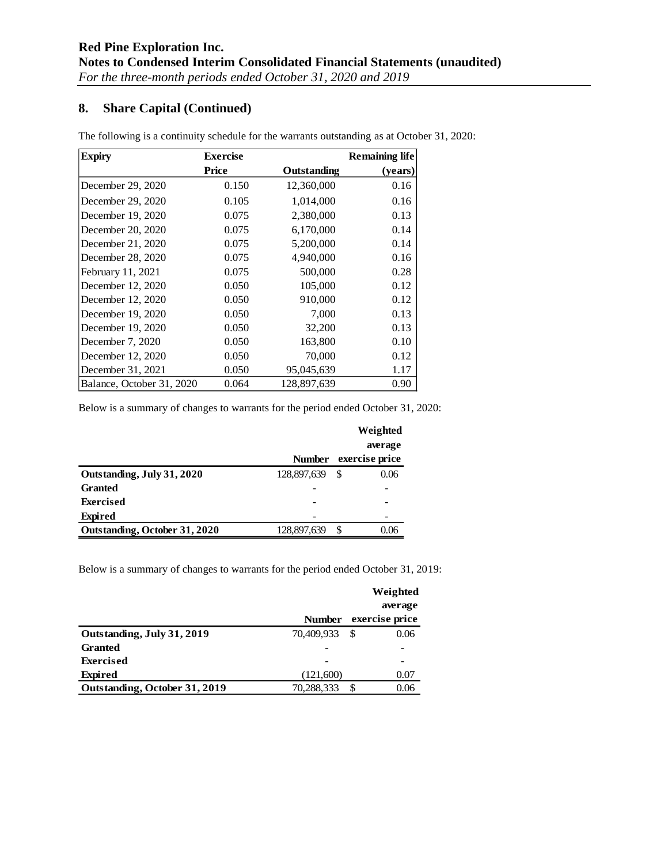# **8. Share Capital (Continued)**

| <b>Expiry</b>             | <b>Exercise</b> |             | <b>Remaining life</b> |
|---------------------------|-----------------|-------------|-----------------------|
|                           | Price           | Outstanding | (years)               |
| December 29, 2020         | 0.150           | 12,360,000  | 0.16                  |
| December 29, 2020         | 0.105           | 1,014,000   | 0.16                  |
| December 19, 2020         | 0.075           | 2,380,000   | 0.13                  |
| December 20, 2020         | 0.075           | 6,170,000   | 0.14                  |
| December 21, 2020         | 0.075           | 5,200,000   | 0.14                  |
| December 28, 2020         | 0.075           | 4,940,000   | 0.16                  |
| February 11, 2021         | 0.075           | 500,000     | 0.28                  |
| December 12, 2020         | 0.050           | 105,000     | 0.12                  |
| December 12, 2020         | 0.050           | 910,000     | 0.12                  |
| December 19, 2020         | 0.050           | 7,000       | 0.13                  |
| December 19, 2020         | 0.050           | 32,200      | 0.13                  |
| December 7, 2020          | 0.050           | 163,800     | 0.10                  |
| December 12, 2020         | 0.050           | 70,000      | 0.12                  |
| December 31, 2021         | 0.050           | 95,045,639  | 1.17                  |
| Balance, October 31, 2020 | 0.064           | 128,897,639 | 0.90                  |

The following is a continuity schedule for the warrants outstanding as at October 31, 2020:

Below is a summary of changes to warrants for the period ended October 31, 2020:

|                               |               | Weighted       |
|-------------------------------|---------------|----------------|
|                               |               | average        |
|                               | <b>Number</b> | exercise price |
| Outstanding, July 31, 2020    | 128,897,639   | 0.06<br>S      |
| <b>Granted</b>                |               |                |
| <b>Exercised</b>              |               |                |
| <b>Expired</b>                |               |                |
| Outstanding, October 31, 2020 | 128,897,639   | S<br>0.06      |

Below is a summary of changes to warrants for the period ended October 31, 2019:

|                               |               | Weighted       |
|-------------------------------|---------------|----------------|
|                               |               | average        |
|                               | <b>Number</b> | exercise price |
| Outstanding, July 31, 2019    | 70.409.933    | 0.06<br>-S     |
| <b>Granted</b>                |               |                |
| <b>Exercised</b>              |               |                |
| <b>Expired</b>                | (121,600)     | 0.07           |
| Outstanding, October 31, 2019 | 70,288,333    | S.<br>0.06     |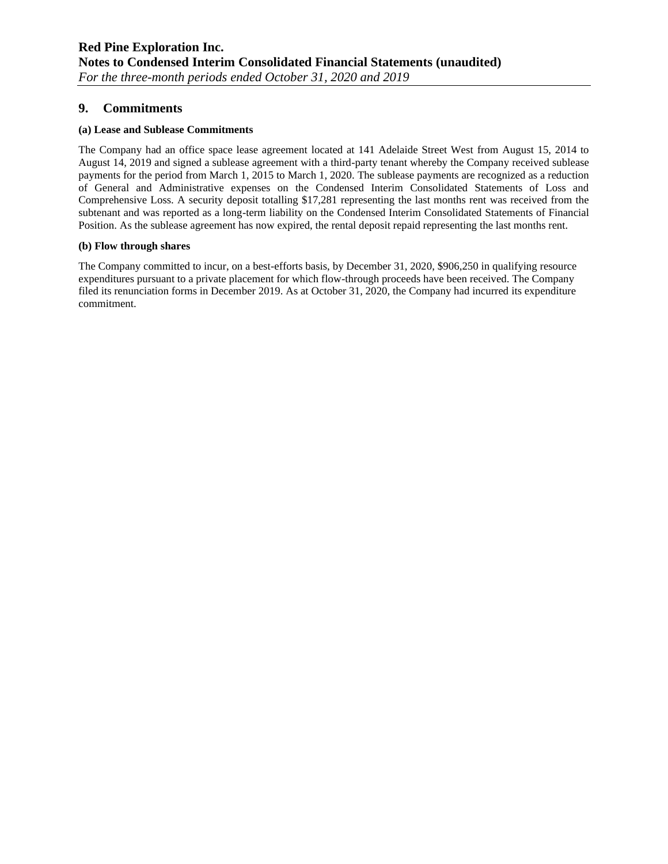## **9. Commitments**

#### **(a) Lease and Sublease Commitments**

The Company had an office space lease agreement located at 141 Adelaide Street West from August 15, 2014 to August 14, 2019 and signed a sublease agreement with a third-party tenant whereby the Company received sublease payments for the period from March 1, 2015 to March 1, 2020. The sublease payments are recognized as a reduction of General and Administrative expenses on the Condensed Interim Consolidated Statements of Loss and Comprehensive Loss. A security deposit totalling \$17,281 representing the last months rent was received from the subtenant and was reported as a long-term liability on the Condensed Interim Consolidated Statements of Financial Position. As the sublease agreement has now expired, the rental deposit repaid representing the last months rent.

#### **(b) Flow through shares**

The Company committed to incur, on a best-efforts basis, by December 31, 2020, \$906,250 in qualifying resource expenditures pursuant to a private placement for which flow-through proceeds have been received. The Company filed its renunciation forms in December 2019. As at October 31, 2020, the Company had incurred its expenditure commitment.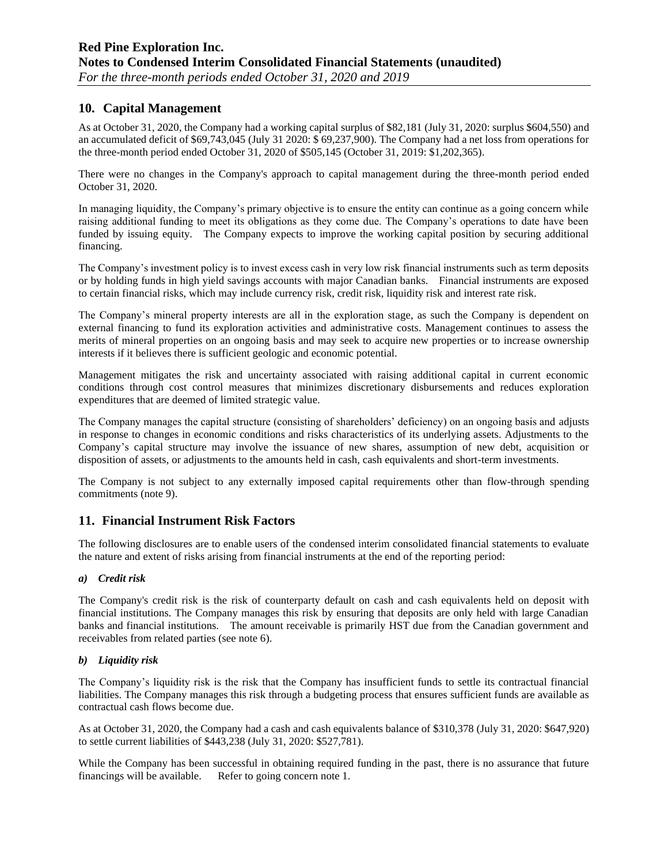## **10. Capital Management**

As at October 31, 2020, the Company had a working capital surplus of \$82,181 (July 31, 2020: surplus \$604,550) and an accumulated deficit of \$69,743,045 (July 31 2020: \$ 69,237,900). The Company had a net loss from operations for the three-month period ended October 31, 2020 of \$505,145 (October 31, 2019: \$1,202,365).

There were no changes in the Company's approach to capital management during the three-month period ended October 31, 2020.

In managing liquidity, the Company's primary objective is to ensure the entity can continue as a going concern while raising additional funding to meet its obligations as they come due. The Company's operations to date have been funded by issuing equity. The Company expects to improve the working capital position by securing additional financing.

The Company's investment policy is to invest excess cash in very low risk financial instruments such as term deposits or by holding funds in high yield savings accounts with major Canadian banks. Financial instruments are exposed to certain financial risks, which may include currency risk, credit risk, liquidity risk and interest rate risk.

The Company's mineral property interests are all in the exploration stage, as such the Company is dependent on external financing to fund its exploration activities and administrative costs. Management continues to assess the merits of mineral properties on an ongoing basis and may seek to acquire new properties or to increase ownership interests if it believes there is sufficient geologic and economic potential.

Management mitigates the risk and uncertainty associated with raising additional capital in current economic conditions through cost control measures that minimizes discretionary disbursements and reduces exploration expenditures that are deemed of limited strategic value.

The Company manages the capital structure (consisting of shareholders' deficiency) on an ongoing basis and adjusts in response to changes in economic conditions and risks characteristics of its underlying assets. Adjustments to the Company's capital structure may involve the issuance of new shares, assumption of new debt, acquisition or disposition of assets, or adjustments to the amounts held in cash, cash equivalents and short-term investments.

The Company is not subject to any externally imposed capital requirements other than flow-through spending commitments (note 9).

### **11. Financial Instrument Risk Factors**

The following disclosures are to enable users of the condensed interim consolidated financial statements to evaluate the nature and extent of risks arising from financial instruments at the end of the reporting period:

#### *a) Credit risk*

The Company's credit risk is the risk of counterparty default on cash and cash equivalents held on deposit with financial institutions. The Company manages this risk by ensuring that deposits are only held with large Canadian banks and financial institutions. The amount receivable is primarily HST due from the Canadian government and receivables from related parties (see note 6).

#### *b) Liquidity risk*

The Company's liquidity risk is the risk that the Company has insufficient funds to settle its contractual financial liabilities. The Company manages this risk through a budgeting process that ensures sufficient funds are available as contractual cash flows become due.

As at October 31, 2020, the Company had a cash and cash equivalents balance of \$310,378 (July 31, 2020: \$647,920) to settle current liabilities of \$443,238 (July 31, 2020: \$527,781).

While the Company has been successful in obtaining required funding in the past, there is no assurance that future financings will be available. Refer to going concern note 1.